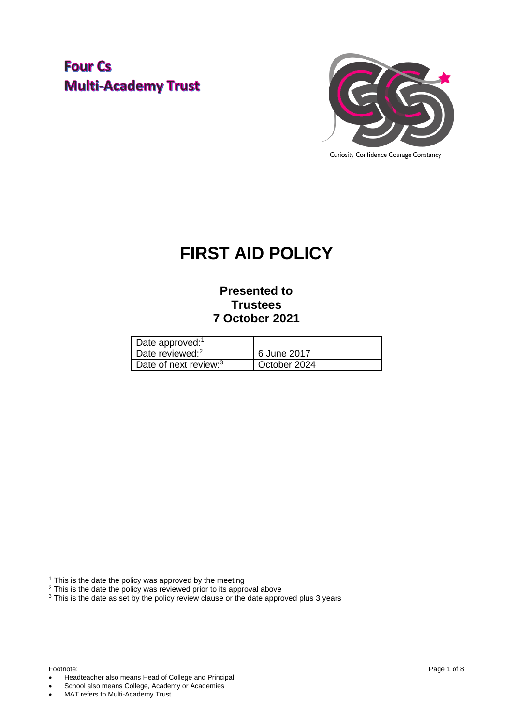### **Four Cs Multi-Academy Trust**



## **FIRST AID POLICY**

### **Presented to Trustees 7 October 2021**

| Date approved: $1$                |              |
|-----------------------------------|--------------|
| Date reviewed: <sup>2</sup>       | 6 June 2017  |
| Date of next review: <sup>3</sup> | October 2024 |

 $1$  This is the date the policy was approved by the meeting

 $2$  This is the date the policy was reviewed prior to its approval above

<sup>3</sup> This is the date as set by the policy review clause or the date approved plus 3 years

- Headteacher also means Head of College and Principal
- School also means College, Academy or Academies
- MAT refers to Multi-Academy Trust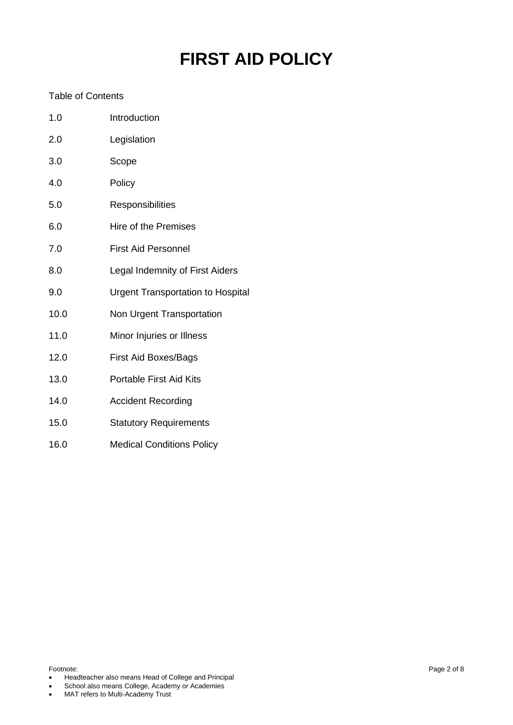# **FIRST AID POLICY**

### Table of Contents

| 1.0  | Introduction                             |
|------|------------------------------------------|
| 2.0  | Legislation                              |
| 3.0  | Scope                                    |
| 4.0  | Policy                                   |
| 5.0  | Responsibilities                         |
| 6.0  | <b>Hire of the Premises</b>              |
| 7.0  | <b>First Aid Personnel</b>               |
| 8.0  | Legal Indemnity of First Aiders          |
| 9.0  | <b>Urgent Transportation to Hospital</b> |
| 10.0 | Non Urgent Transportation                |
| 11.0 | Minor Injuries or Illness                |
| 12.0 | <b>First Aid Boxes/Bags</b>              |
| 13.0 | Portable First Aid Kits                  |
| 14.0 | <b>Accident Recording</b>                |
| 15.0 | <b>Statutory Requirements</b>            |
|      |                                          |

16.0 Medical Conditions Policy

- Headteacher also means Head of College and Principal
- School also means College, Academy or Academies
- MAT refers to Multi-Academy Trust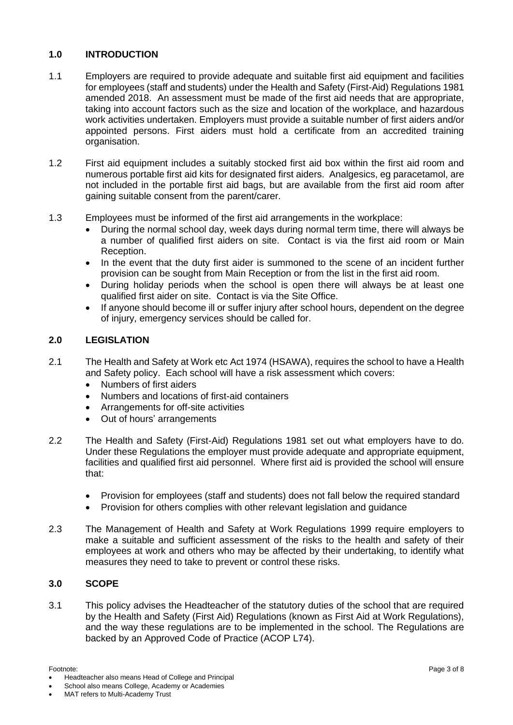#### **1.0 INTRODUCTION**

- 1.1 Employers are required to provide adequate and suitable first aid equipment and facilities for employees (staff and students) under the Health and Safety (First-Aid) Regulations 1981 amended 2018. An assessment must be made of the first aid needs that are appropriate, taking into account factors such as the size and location of the workplace, and hazardous work activities undertaken. Employers must provide a suitable number of first aiders and/or appointed persons. First aiders must hold a certificate from an accredited training organisation.
- 1.2 First aid equipment includes a suitably stocked first aid box within the first aid room and numerous portable first aid kits for designated first aiders. Analgesics, eg paracetamol, are not included in the portable first aid bags, but are available from the first aid room after gaining suitable consent from the parent/carer.
- 1.3 Employees must be informed of the first aid arrangements in the workplace:
	- During the normal school day, week days during normal term time, there will always be a number of qualified first aiders on site. Contact is via the first aid room or Main Reception.
	- In the event that the duty first aider is summoned to the scene of an incident further provision can be sought from Main Reception or from the list in the first aid room.
	- During holiday periods when the school is open there will always be at least one qualified first aider on site. Contact is via the Site Office.
	- If anyone should become ill or suffer injury after school hours, dependent on the degree of injury, emergency services should be called for.

#### **2.0 LEGISLATION**

- 2.1 The Health and Safety at Work etc Act 1974 (HSAWA), requires the school to have a Health and Safety policy. Each school will have a risk assessment which covers:
	- Numbers of first aiders
	- Numbers and locations of first-aid containers
	- Arrangements for off-site activities
	- Out of hours' arrangements
- 2.2 The Health and Safety (First-Aid) Regulations 1981 set out what employers have to do. Under these Regulations the employer must provide adequate and appropriate equipment, facilities and qualified first aid personnel. Where first aid is provided the school will ensure that:
	- Provision for employees (staff and students) does not fall below the required standard
	- Provision for others complies with other relevant legislation and guidance
- 2.3 The Management of Health and Safety at Work Regulations 1999 require employers to make a suitable and sufficient assessment of the risks to the health and safety of their employees at work and others who may be affected by their undertaking, to identify what measures they need to take to prevent or control these risks.

#### **3.0 SCOPE**

3.1 This policy advises the Headteacher of the statutory duties of the school that are required by the Health and Safety (First Aid) Regulations (known as First Aid at Work Regulations), and the way these regulations are to be implemented in the school. The Regulations are backed by an Approved Code of Practice (ACOP L74).

School also means College, Academy or Academies

<sup>•</sup> Headteacher also means Head of College and Principal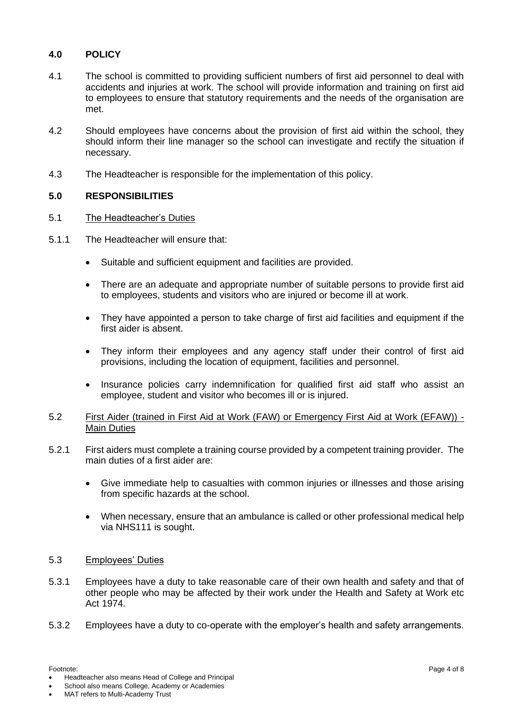### **4.0 POLICY**

- 4.1 The school is committed to providing sufficient numbers of first aid personnel to deal with accidents and injuries at work. The school will provide information and training on first aid to employees to ensure that statutory requirements and the needs of the organisation are met.
- 4.2 Should employees have concerns about the provision of first aid within the school, they should inform their line manager so the school can investigate and rectify the situation if necessary.
- 4.3 The Headteacher is responsible for the implementation of this policy.

#### **5.0 RESPONSIBILITIES**

#### 5.1 The Headteacher's Duties

- 5.1.1 The Headteacher will ensure that:
	- Suitable and sufficient equipment and facilities are provided.
	- There are an adequate and appropriate number of suitable persons to provide first aid to employees, students and visitors who are injured or become ill at work.
	- They have appointed a person to take charge of first aid facilities and equipment if the first aider is absent.
	- They inform their employees and any agency staff under their control of first aid provisions, including the location of equipment, facilities and personnel.
	- Insurance policies carry indemnification for qualified first aid staff who assist an employee, student and visitor who becomes ill or is injured.

#### 5.2 First Aider (trained in First Aid at Work (FAW) or Emergency First Aid at Work (EFAW)) - Main Duties

- 5.2.1 First aiders must complete a training course provided by a competent training provider. The main duties of a first aider are:
	- Give immediate help to casualties with common injuries or illnesses and those arising from specific hazards at the school.
	- When necessary, ensure that an ambulance is called or other professional medical help via NHS111 is sought.

#### 5.3 Employees' Duties

- 5.3.1 Employees have a duty to take reasonable care of their own health and safety and that of other people who may be affected by their work under the Health and Safety at Work etc Act 1974.
- 5.3.2 Employees have a duty to co-operate with the employer's health and safety arrangements.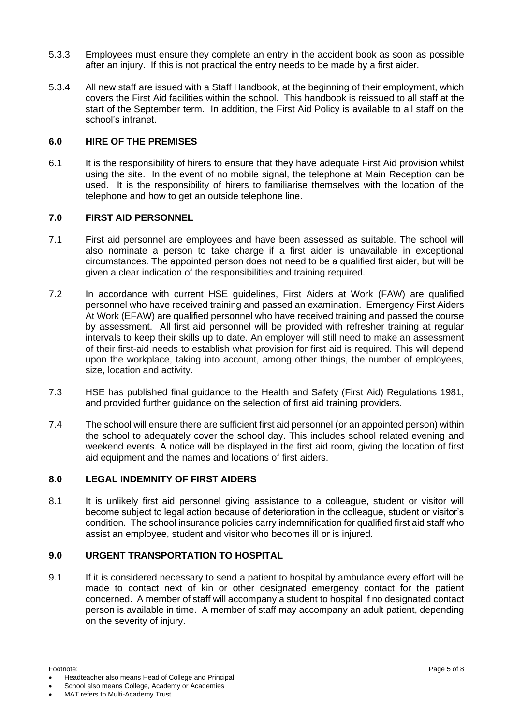- 5.3.3 Employees must ensure they complete an entry in the accident book as soon as possible after an injury. If this is not practical the entry needs to be made by a first aider.
- 5.3.4 All new staff are issued with a Staff Handbook, at the beginning of their employment, which covers the First Aid facilities within the school. This handbook is reissued to all staff at the start of the September term. In addition, the First Aid Policy is available to all staff on the school's intranet.

#### **6.0 HIRE OF THE PREMISES**

6.1 It is the responsibility of hirers to ensure that they have adequate First Aid provision whilst using the site. In the event of no mobile signal, the telephone at Main Reception can be used. It is the responsibility of hirers to familiarise themselves with the location of the telephone and how to get an outside telephone line.

#### **7.0 FIRST AID PERSONNEL**

- 7.1 First aid personnel are employees and have been assessed as suitable. The school will also nominate a person to take charge if a first aider is unavailable in exceptional circumstances. The appointed person does not need to be a qualified first aider, but will be given a clear indication of the responsibilities and training required.
- 7.2 In accordance with current HSE guidelines, First Aiders at Work (FAW) are qualified personnel who have received training and passed an examination. Emergency First Aiders At Work (EFAW) are qualified personnel who have received training and passed the course by assessment. All first aid personnel will be provided with refresher training at regular intervals to keep their skills up to date. An employer will still need to make an assessment of their first-aid needs to establish what provision for first aid is required. This will depend upon the workplace, taking into account, among other things, the number of employees, size, location and activity.
- 7.3 HSE has published [final guidance to the Health and Safety \(First Aid\) Regulations 1981,](http://www.hse.gov.uk/pubns/books/l74.htm) and provided [further guidance on the selection of first aid training providers.](http://www.hse.gov.uk/pubns/geis3.htm)
- 7.4 The school will ensure there are sufficient first aid personnel (or an appointed person) within the school to adequately cover the school day. This includes school related evening and weekend events. A notice will be displayed in the first aid room, giving the location of first aid equipment and the names and locations of first aiders.

#### **8.0 LEGAL INDEMNITY OF FIRST AIDERS**

8.1 It is unlikely first aid personnel giving assistance to a colleague, student or visitor will become subject to legal action because of deterioration in the colleague, student or visitor's condition. The school insurance policies carry indemnification for qualified first aid staff who assist an employee, student and visitor who becomes ill or is injured.

#### **9.0 URGENT TRANSPORTATION TO HOSPITAL**

9.1 If it is considered necessary to send a patient to hospital by ambulance every effort will be made to contact next of kin or other designated emergency contact for the patient concerned. A member of staff will accompany a student to hospital if no designated contact person is available in time. A member of staff may accompany an adult patient, depending on the severity of injury.

- Footnote: Page 5 of 8 • Headteacher also means Head of College and Principal
- School also means College, Academy or Academies
- MAT refers to Multi-Academy Trust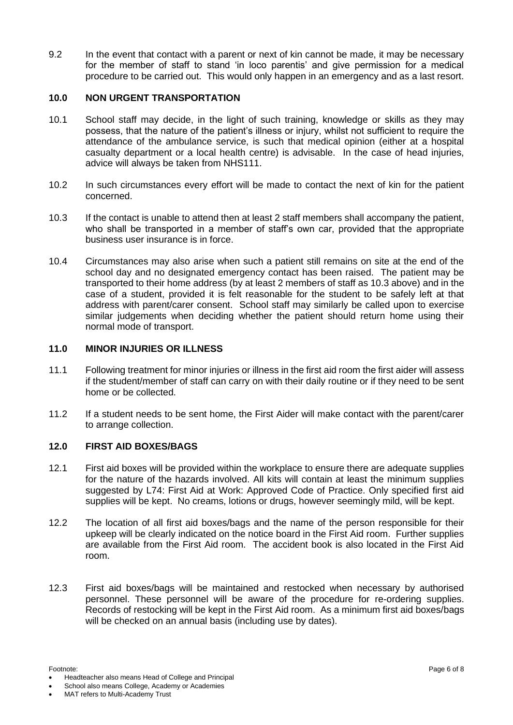9.2 In the event that contact with a parent or next of kin cannot be made, it may be necessary for the member of staff to stand 'in loco parentis' and give permission for a medical procedure to be carried out. This would only happen in an emergency and as a last resort.

#### **10.0 NON URGENT TRANSPORTATION**

- 10.1 School staff may decide, in the light of such training, knowledge or skills as they may possess, that the nature of the patient's illness or injury, whilst not sufficient to require the attendance of the ambulance service, is such that medical opinion (either at a hospital casualty department or a local health centre) is advisable. In the case of head injuries, advice will always be taken from NHS111.
- 10.2 In such circumstances every effort will be made to contact the next of kin for the patient concerned.
- 10.3 If the contact is unable to attend then at least 2 staff members shall accompany the patient, who shall be transported in a member of staff's own car, provided that the appropriate business user insurance is in force.
- 10.4 Circumstances may also arise when such a patient still remains on site at the end of the school day and no designated emergency contact has been raised. The patient may be transported to their home address (by at least 2 members of staff as 10.3 above) and in the case of a student, provided it is felt reasonable for the student to be safely left at that address with parent/carer consent. School staff may similarly be called upon to exercise similar judgements when deciding whether the patient should return home using their normal mode of transport.

#### **11.0 MINOR INJURIES OR ILLNESS**

- 11.1 Following treatment for minor injuries or illness in the first aid room the first aider will assess if the student/member of staff can carry on with their daily routine or if they need to be sent home or be collected.
- 11.2 If a student needs to be sent home, the First Aider will make contact with the parent/carer to arrange collection.

#### **12.0 FIRST AID BOXES/BAGS**

- 12.1 First aid boxes will be provided within the workplace to ensure there are adequate supplies for the nature of the hazards involved. All kits will contain at least the minimum supplies suggested by L74: First Aid at Work: Approved Code of Practice. Only specified first aid supplies will be kept. No creams, lotions or drugs, however seemingly mild, will be kept.
- 12.2 The location of all first aid boxes/bags and the name of the person responsible for their upkeep will be clearly indicated on the notice board in the First Aid room. Further supplies are available from the First Aid room. The accident book is also located in the First Aid room.
- 12.3 First aid boxes/bags will be maintained and restocked when necessary by authorised personnel. These personnel will be aware of the procedure for re-ordering supplies. Records of restocking will be kept in the First Aid room. As a minimum first aid boxes/bags will be checked on an annual basis (including use by dates).

Footnote: Page 6 of 8 • Headteacher also means Head of College and Principal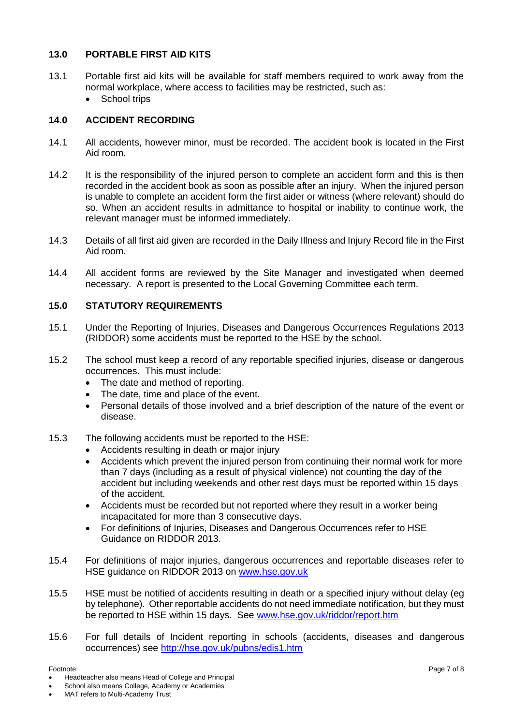#### **13.0 PORTABLE FIRST AID KITS**

- 13.1 Portable first aid kits will be available for staff members required to work away from the normal workplace, where access to facilities may be restricted, such as:
	- School trips

#### **14.0 ACCIDENT RECORDING**

- 14.1 All accidents, however minor, must be recorded. The accident book is located in the First Aid room.
- 14.2 It is the responsibility of the injured person to complete an accident form and this is then recorded in the accident book as soon as possible after an injury. When the injured person is unable to complete an accident form the first aider or witness (where relevant) should do so. When an accident results in admittance to hospital or inability to continue work, the relevant manager must be informed immediately.
- 14.3 Details of all first aid given are recorded in the Daily Illness and Injury Record file in the First Aid room.
- 14.4 All accident forms are reviewed by the Site Manager and investigated when deemed necessary. A report is presented to the Local Governing Committee each term.

#### **15.0 STATUTORY REQUIREMENTS**

- 15.1 Under the Reporting of Injuries, Diseases and Dangerous Occurrences Regulations 2013 (RIDDOR) some accidents must be reported to the HSE by the school.
- 15.2 The school must keep a record of any reportable specified injuries, disease or dangerous occurrences. This must include:
	- The date and method of reporting.
	- The date, time and place of the event.
	- Personal details of those involved and a brief description of the nature of the event or disease.
- 15.3 The following accidents must be reported to the HSE:
	- Accidents resulting in death or major injury
	- Accidents which prevent the injured person from continuing their normal work for more than 7 days (including as a result of physical violence) not counting the day of the accident but including weekends and other rest days must be reported within 15 days of the accident.
	- Accidents must be recorded but not reported where they result in a worker being incapacitated for more than 3 consecutive days.
	- For definitions of Injuries, Diseases and Dangerous Occurrences refer to HSE Guidance on RIDDOR 2013.
- 15.4 For definitions of major injuries, dangerous occurrences and reportable diseases refer to HSE guidance on RIDDOR 2013 on [www.hse.gov.uk](http://www.hse.gov.uk/)
- 15.5 HSE must be notified of accidents resulting in death or a specified injury without delay (eg by telephone). Other reportable accidents do not need immediate notification, but they must be reported to HSE within 15 days. See [www.hse.gov.uk/riddor/report.htm](http://www.hse.gov.uk/riddor/report.htm)
- 15.6 For full details of Incident reporting in schools (accidents, diseases and dangerous occurrences) see<http://hse.gov.uk/pubns/edis1.htm>

• Headteacher also means Head of College and Principal